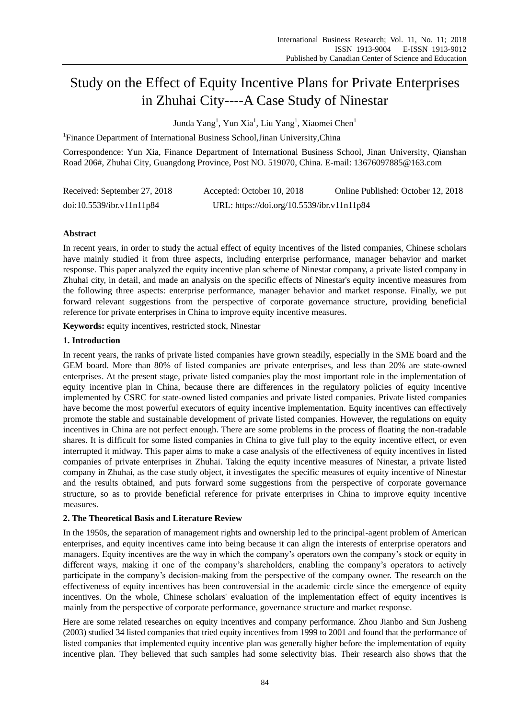# Study on the Effect of Equity Incentive Plans for Private Enterprises in Zhuhai City----A Case Study of Ninestar

Junda Yang<sup>1</sup>, Yun Xia<sup>1</sup>, Liu Yang<sup>1</sup>, Xiaomei Chen<sup>1</sup>

<sup>1</sup>Finance Department of International Business School, Jinan University, China

Correspondence: Yun Xia, Finance Department of International Business School, Jinan University, Qianshan Road 206#, Zhuhai City, Guangdong Province, Post NO. 519070, China. E-mail: 13676097885@163.com

| Received: September 27, 2018 | Accepted: October 10, 2018                 | Online Published: October 12, 2018 |
|------------------------------|--------------------------------------------|------------------------------------|
| doi:10.5539/ibr.v11n11p84    | URL: https://doi.org/10.5539/ibr.v11n11p84 |                                    |

# **Abstract**

In recent years, in order to study the actual effect of equity incentives of the listed companies, Chinese scholars have mainly studied it from three aspects, including enterprise performance, manager behavior and market response. This paper analyzed the equity incentive plan scheme of Ninestar company, a private listed company in Zhuhai city, in detail, and made an analysis on the specific effects of Ninestar's equity incentive measures from the following three aspects: enterprise performance, manager behavior and market response. Finally, we put forward relevant suggestions from the perspective of corporate governance structure, providing beneficial reference for private enterprises in China to improve equity incentive measures.

**Keywords:** equity incentives, restricted stock, Ninestar

## **1. Introduction**

In recent years, the ranks of private listed companies have grown steadily, especially in the SME board and the GEM board. More than 80% of listed companies are private enterprises, and less than 20% are state-owned enterprises. At the present stage, private listed companies play the most important role in the implementation of equity incentive plan in China, because there are differences in the regulatory policies of equity incentive implemented by CSRC for state-owned listed companies and private listed companies. Private listed companies have become the most powerful executors of equity incentive implementation. Equity incentives can effectively promote the stable and sustainable development of private listed companies. However, the regulations on equity incentives in China are not perfect enough. There are some problems in the process of floating the non-tradable shares. It is difficult for some listed companies in China to give full play to the equity incentive effect, or even interrupted it midway. This paper aims to make a case analysis of the effectiveness of equity incentives in listed companies of private enterprises in Zhuhai. Taking the equity incentive measures of Ninestar, a private listed company in Zhuhai, as the case study object, it investigates the specific measures of equity incentive of Ninestar and the results obtained, and puts forward some suggestions from the perspective of corporate governance structure, so as to provide beneficial reference for private enterprises in China to improve equity incentive measures.

## **2. The Theoretical Basis and Literature Review**

In the 1950s, the separation of management rights and ownership led to the principal-agent problem of American enterprises, and equity incentives came into being because it can align the interests of enterprise operators and managers. Equity incentives are the way in which the company's operators own the company's stock or equity in different ways, making it one of the company's shareholders, enabling the company's operators to actively participate in the company's decision-making from the perspective of the company owner. The research on the effectiveness of equity incentives has been controversial in the academic circle since the emergence of equity incentives. On the whole, Chinese scholars' evaluation of the implementation effect of equity incentives is mainly from the perspective of corporate performance, governance structure and market response.

Here are some related researches on equity incentives and company performance. Zhou Jianbo and Sun Jusheng (2003) studied 34 listed companies that tried equity incentives from 1999 to 2001 and found that the performance of listed companies that implemented equity incentive plan was generally higher before the implementation of equity incentive plan. They believed that such samples had some selectivity bias. Their research also shows that the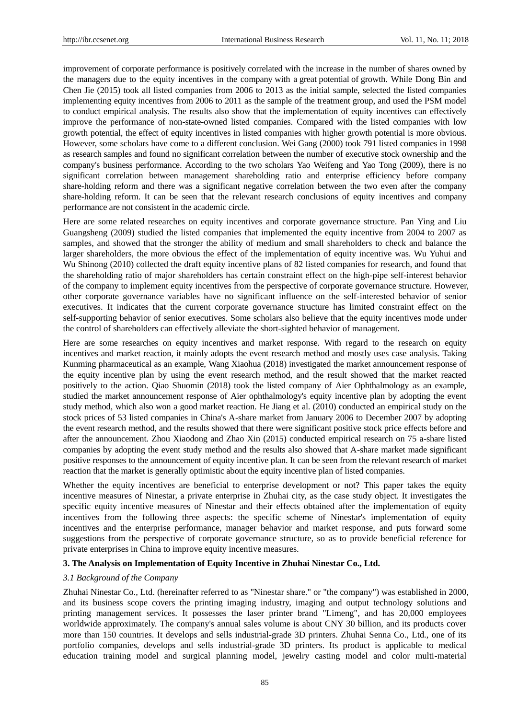improvement of corporate performance is positively correlated with the increase in the number of shares owned by the managers due to the equity incentives in the company with a great potential of growth. While Dong Bin and Chen Jie (2015) took all listed companies from 2006 to 2013 as the initial sample, selected the listed companies implementing equity incentives from 2006 to 2011 as the sample of the treatment group, and used the PSM model to conduct empirical analysis. The results also show that the implementation of equity incentives can effectively improve the performance of non-state-owned listed companies. Compared with the listed companies with low growth potential, the effect of equity incentives in listed companies with higher growth potential is more obvious. However, some scholars have come to a different conclusion. Wei Gang (2000) took 791 listed companies in 1998 as research samples and found no significant correlation between the number of executive stock ownership and the company's business performance. According to the two scholars Yao Weifeng and Yao Tong (2009), there is no significant correlation between management shareholding ratio and enterprise efficiency before company share-holding reform and there was a significant negative correlation between the two even after the company share-holding reform. It can be seen that the relevant research conclusions of equity incentives and company performance are not consistent in the academic circle.

Here are some related researches on equity incentives and corporate governance structure. Pan Ying and Liu Guangsheng (2009) studied the listed companies that implemented the equity incentive from 2004 to 2007 as samples, and showed that the stronger the ability of medium and small shareholders to check and balance the larger shareholders, the more obvious the effect of the implementation of equity incentive was. Wu Yuhui and Wu Shinong (2010) collected the draft equity incentive plans of 82 listed companies for research, and found that the shareholding ratio of major shareholders has certain constraint effect on the high-pipe self-interest behavior of the company to implement equity incentives from the perspective of corporate governance structure. However, other corporate governance variables have no significant influence on the self-interested behavior of senior executives. It indicates that the current corporate governance structure has limited constraint effect on the self-supporting behavior of senior executives. Some scholars also believe that the equity incentives mode under the control of shareholders can effectively alleviate the short-sighted behavior of management.

Here are some researches on equity incentives and market response. With regard to the research on equity incentives and market reaction, it mainly adopts the event research method and mostly uses case analysis. Taking Kunming pharmaceutical as an example, Wang Xiaohua (2018) investigated the market announcement response of the equity incentive plan by using the event research method, and the result showed that the market reacted positively to the action. Qiao Shuomin (2018) took the listed company of Aier Ophthalmology as an example, studied the market announcement response of Aier ophthalmology's equity incentive plan by adopting the event study method, which also won a good market reaction. He Jiang et al. (2010) conducted an empirical study on the stock prices of 53 listed companies in China's A-share market from January 2006 to December 2007 by adopting the event research method, and the results showed that there were significant positive stock price effects before and after the announcement. Zhou Xiaodong and Zhao Xin (2015) conducted empirical research on 75 a-share listed companies by adopting the event study method and the results also showed that A-share market made significant positive responses to the announcement of equity incentive plan. It can be seen from the relevant research of market reaction that the market is generally optimistic about the equity incentive plan of listed companies.

Whether the equity incentives are beneficial to enterprise development or not? This paper takes the equity incentive measures of Ninestar, a private enterprise in Zhuhai city, as the case study object. It investigates the specific equity incentive measures of Ninestar and their effects obtained after the implementation of equity incentives from the following three aspects: the specific scheme of Ninestar's implementation of equity incentives and the enterprise performance, manager behavior and market response, and puts forward some suggestions from the perspective of corporate governance structure, so as to provide beneficial reference for private enterprises in China to improve equity incentive measures.

#### **3. The Analysis on Implementation of Equity Incentive in Zhuhai Ninestar Co., Ltd.**

#### *3.1 Background of the Company*

Zhuhai Ninestar Co., Ltd. (hereinafter referred to as "Ninestar share." or "the company") was established in 2000, and its business scope covers the printing imaging industry, imaging and output technology solutions and printing management services. It possesses the laser printer brand "Limeng", and has 20,000 employees worldwide approximately. The company's annual sales volume is about CNY 30 billion, and its products cover more than 150 countries. It develops and sells industrial-grade 3D printers. Zhuhai Senna Co., Ltd., one of its portfolio companies, develops and sells industrial-grade 3D printers. Its product is applicable to medical education training model and surgical planning model, jewelry casting model and color multi-material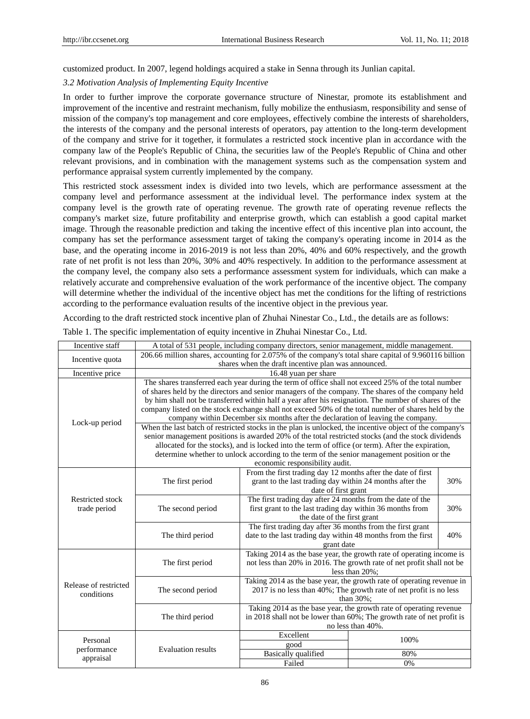customized product. In 2007, legend holdings acquired a stake in Senna through its Junlian capital.

## *3.2 Motivation Analysis of Implementing Equity Incentive*

In order to further improve the corporate governance structure of Ninestar, promote its establishment and improvement of the incentive and restraint mechanism, fully mobilize the enthusiasm, responsibility and sense of mission of the company's top management and core employees, effectively combine the interests of shareholders, the interests of the company and the personal interests of operators, pay attention to the long-term development of the company and strive for it together, it formulates a restricted stock incentive plan in accordance with the company law of the People's Republic of China, the securities law of the People's Republic of China and other relevant provisions, and in combination with the management systems such as the compensation system and performance appraisal system currently implemented by the company.

This restricted stock assessment index is divided into two levels, which are performance assessment at the company level and performance assessment at the individual level. The performance index system at the company level is the growth rate of operating revenue. The growth rate of operating revenue reflects the company's market size, future profitability and enterprise growth, which can establish a good capital market image. Through the reasonable prediction and taking the incentive effect of this incentive plan into account, the company has set the performance assessment target of taking the company's operating income in 2014 as the base, and the operating income in 2016-2019 is not less than 20%, 40% and 60% respectively, and the growth rate of net profit is not less than 20%, 30% and 40% respectively. In addition to the performance assessment at the company level, the company also sets a performance assessment system for individuals, which can make a relatively accurate and comprehensive evaluation of the work performance of the incentive object. The company will determine whether the individual of the incentive object has met the conditions for the lifting of restrictions according to the performance evaluation results of the incentive object in the previous year.

According to the draft restricted stock incentive plan of Zhuhai Ninestar Co., Ltd., the details are as follows:

| Incentive staff                         | A total of 531 people, including company directors, senior management, middle management.               |                                                                       |      |     |  |  |
|-----------------------------------------|---------------------------------------------------------------------------------------------------------|-----------------------------------------------------------------------|------|-----|--|--|
| Incentive quota                         | 206.66 million shares, accounting for 2.075% of the company's total share capital of 9.960116 billion   |                                                                       |      |     |  |  |
|                                         | shares when the draft incentive plan was announced.                                                     |                                                                       |      |     |  |  |
| Incentive price                         | 16.48 yuan per share                                                                                    |                                                                       |      |     |  |  |
|                                         | The shares transferred each year during the term of office shall not exceed 25% of the total number     |                                                                       |      |     |  |  |
|                                         | of shares held by the directors and senior managers of the company. The shares of the company held      |                                                                       |      |     |  |  |
|                                         | by him shall not be transferred within half a year after his resignation. The number of shares of the   |                                                                       |      |     |  |  |
|                                         | company listed on the stock exchange shall not exceed 50% of the total number of shares held by the     |                                                                       |      |     |  |  |
| Lock-up period                          | company within December six months after the declaration of leaving the company.                        |                                                                       |      |     |  |  |
|                                         | When the last batch of restricted stocks in the plan is unlocked, the incentive object of the company's |                                                                       |      |     |  |  |
|                                         | senior management positions is awarded 20% of the total restricted stocks (and the stock dividends      |                                                                       |      |     |  |  |
|                                         | allocated for the stocks), and is locked into the term of office (or term). After the expiration,       |                                                                       |      |     |  |  |
|                                         | determine whether to unlock according to the term of the senior management position or the              |                                                                       |      |     |  |  |
|                                         |                                                                                                         | economic responsibility audit.                                        |      |     |  |  |
|                                         |                                                                                                         | From the first trading day 12 months after the date of first          |      |     |  |  |
| <b>Restricted stock</b><br>trade period | The first period                                                                                        | grant to the last trading day within 24 months after the              |      | 30% |  |  |
|                                         |                                                                                                         | date of first grant                                                   |      |     |  |  |
|                                         | The second period                                                                                       | The first trading day after 24 months from the date of the            |      |     |  |  |
|                                         |                                                                                                         | first grant to the last trading day within 36 months from             |      | 30% |  |  |
|                                         |                                                                                                         | the date of the first grant                                           |      |     |  |  |
|                                         |                                                                                                         | The first trading day after 36 months from the first grant            |      |     |  |  |
|                                         | The third period                                                                                        | 40%<br>date to the last trading day within 48 months from the first   |      |     |  |  |
|                                         |                                                                                                         | grant date                                                            |      |     |  |  |
| Release of restricted<br>conditions     |                                                                                                         | Taking 2014 as the base year, the growth rate of operating income is  |      |     |  |  |
|                                         | The first period                                                                                        | not less than 20% in 2016. The growth rate of net profit shall not be |      |     |  |  |
|                                         |                                                                                                         | less than $20\%$ ;                                                    |      |     |  |  |
|                                         | The second period                                                                                       | Taking 2014 as the base year, the growth rate of operating revenue in |      |     |  |  |
|                                         |                                                                                                         | 2017 is no less than 40%; The growth rate of net profit is no less    |      |     |  |  |
|                                         |                                                                                                         | than $30\%$ :                                                         |      |     |  |  |
|                                         | The third period                                                                                        | Taking 2014 as the base year, the growth rate of operating revenue    |      |     |  |  |
|                                         |                                                                                                         | in 2018 shall not be lower than 60%; The growth rate of net profit is |      |     |  |  |
|                                         |                                                                                                         | no less than 40%.                                                     |      |     |  |  |
| Personal<br>performance<br>appraisal    |                                                                                                         | Excellent                                                             | 100% |     |  |  |
|                                         | <b>Evaluation results</b>                                                                               | good                                                                  |      |     |  |  |
|                                         |                                                                                                         | <b>Basically</b> qualified                                            | 80%  |     |  |  |
|                                         |                                                                                                         | Failed                                                                | 0%   |     |  |  |

Table 1. The specific implementation of equity incentive in Zhuhai Ninestar Co., Ltd.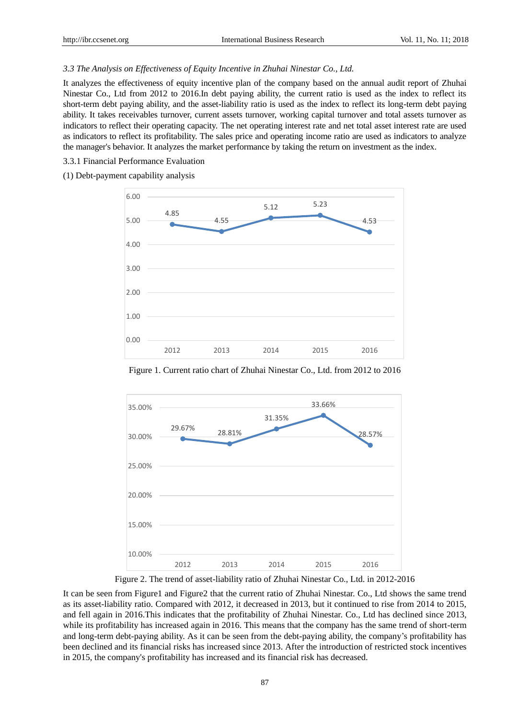## *3.3 The Analysis on Effectiveness of Equity Incentive in Zhuhai Ninestar Co., Ltd.*

It analyzes the effectiveness of equity incentive plan of the company based on the annual audit report of Zhuhai Ninestar Co., Ltd from 2012 to 2016.In debt paying ability, the current ratio is used as the index to reflect its short-term debt paying ability, and the asset-liability ratio is used as the index to reflect its long-term debt paying ability. It takes receivables turnover, current assets turnover, working capital turnover and total assets turnover as indicators to reflect their operating capacity. The net operating interest rate and net total asset interest rate are used as indicators to reflect its profitability. The sales price and operating income ratio are used as indicators to analyze the manager's behavior. It analyzes the market performance by taking the return on investment as the index.

3.3.1 Financial Performance Evaluation

#### (1) Debt-payment capability analysis



Figure 1. Current ratio chart of Zhuhai Ninestar Co., Ltd. from 2012 to 2016



Figure 2. The trend of asset-liability ratio of Zhuhai Ninestar Co., Ltd. in 2012-2016

It can be seen from Figure1 and Figure2 that the current ratio of Zhuhai Ninestar. Co., Ltd shows the same trend as its asset-liability ratio. Compared with 2012, it decreased in 2013, but it continued to rise from 2014 to 2015, and fell again in 2016.This indicates that the profitability of Zhuhai Ninestar. Co., Ltd has declined since 2013, while its profitability has increased again in 2016. This means that the company has the same trend of short-term and long-term debt-paying ability. As it can be seen from the debt-paying ability, the company's profitability has been declined and its financial risks has increased since 2013. After the introduction of restricted stock incentives in 2015, the company's profitability has increased and its financial risk has decreased.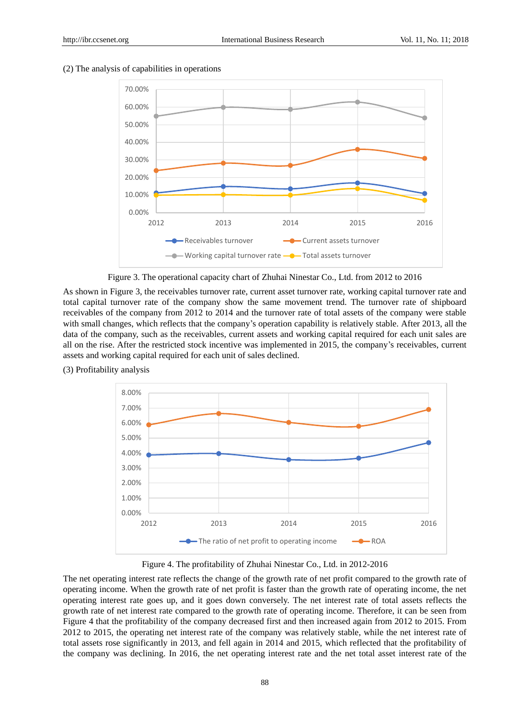

#### (2) The analysis of capabilities in operations



As shown in Figure 3, the receivables turnover rate, current asset turnover rate, working capital turnover rate and total capital turnover rate of the company show the same movement trend. The turnover rate of shipboard receivables of the company from 2012 to 2014 and the turnover rate of total assets of the company were stable with small changes, which reflects that the company's operation capability is relatively stable. After 2013, all the data of the company, such as the receivables, current assets and working capital required for each unit sales are all on the rise. After the restricted stock incentive was implemented in 2015, the company's receivables, current assets and working capital required for each unit of sales declined.



(3) Profitability analysis

Figure 4. The profitability of Zhuhai Ninestar Co., Ltd. in 2012-2016

The net operating interest rate reflects the change of the growth rate of net profit compared to the growth rate of operating income. When the growth rate of net profit is faster than the growth rate of operating income, the net operating interest rate goes up, and it goes down conversely. The net interest rate of total assets reflects the growth rate of net interest rate compared to the growth rate of operating income. Therefore, it can be seen from Figure 4 that the profitability of the company decreased first and then increased again from 2012 to 2015. From 2012 to 2015, the operating net interest rate of the company was relatively stable, while the net interest rate of total assets rose significantly in 2013, and fell again in 2014 and 2015, which reflected that the profitability of the company was declining. In 2016, the net operating interest rate and the net total asset interest rate of the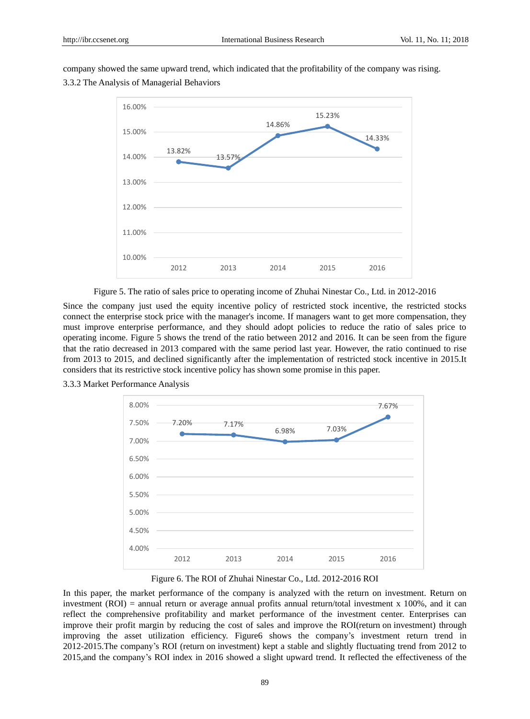company showed the same upward trend, which indicated that the profitability of the company was rising.

3.3.2 The Analysis of Managerial Behaviors



Figure 5. The ratio of sales price to operating income of Zhuhai Ninestar Co., Ltd. in 2012-2016

Since the company just used the equity incentive policy of restricted stock incentive, the restricted stocks connect the enterprise stock price with the manager's income. If managers want to get more compensation, they must improve enterprise performance, and they should adopt policies to reduce the ratio of sales price to operating income. Figure 5 shows the trend of the ratio between 2012 and 2016. It can be seen from the figure that the ratio decreased in 2013 compared with the same period last year. However, the ratio continued to rise from 2013 to 2015, and declined significantly after the implementation of restricted stock incentive in 2015.It considers that its restrictive stock incentive policy has shown some promise in this paper.



3.3.3 Market Performance Analysis

Figure 6. The ROI of Zhuhai Ninestar Co., Ltd. 2012-2016 ROI

In this paper, the market performance of the company is analyzed with the return on investment. Return on investment (ROI) = annual return or average annual profits annual return/total investment x 100%, and it can reflect the comprehensive profitability and market performance of the investment center. Enterprises can improve their profit margin by reducing the cost of sales and improve the [ROI\(return](file:///C:/Users/apple/AppData/Local/youdao/dict/Application/8.3.1.0/resultui/html/index.html#/javascript:;) [on](file:///C:/Users/apple/AppData/Local/youdao/dict/Application/8.3.1.0/resultui/html/index.html#/javascript:;) [investment\)](file:///C:/Users/apple/AppData/Local/youdao/dict/Application/8.3.1.0/resultui/html/index.html#/javascript:;) through improving the asset utilization efficiency. Figure6 shows the company's investment return trend in 2012-2015.The company's ROI [\(return](file:///C:/Users/apple/AppData/Local/youdao/dict/Application/8.3.1.0/resultui/html/index.html#/javascript:;) [on](file:///C:/Users/apple/AppData/Local/youdao/dict/Application/8.3.1.0/resultui/html/index.html#/javascript:;) [investment\)](file:///C:/Users/apple/AppData/Local/youdao/dict/Application/8.3.1.0/resultui/html/index.html#/javascript:;) kept a stable and slightly fluctuating trend from 2012 to 2015,and the company's ROI index in 2016 showed a slight upward trend. It reflected the effectiveness of the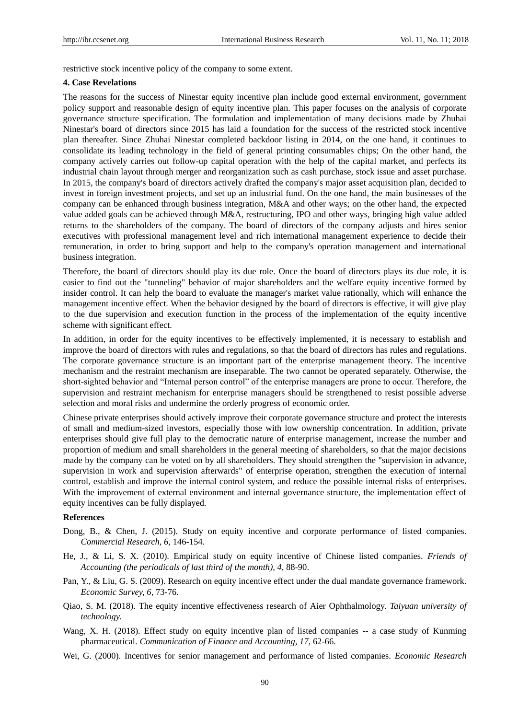restrictive stock incentive policy of the company to some extent.

#### **4. Case Revelations**

The reasons for the success of Ninestar equity incentive plan include good external environment, government policy support and reasonable design of equity incentive plan. This paper focuses on the analysis of corporate governance structure specification. The formulation and implementation of many decisions made by Zhuhai Ninestar's board of directors since 2015 has laid a foundation for the success of the restricted stock incentive plan thereafter. Since Zhuhai Ninestar completed backdoor listing in 2014, on the one hand, it continues to consolidate its leading technology in the field of general printing consumables chips; On the other hand, the company actively carries out follow-up capital operation with the help of the capital market, and perfects its industrial chain layout through merger and reorganization such as cash purchase, stock issue and asset purchase. In 2015, the company's board of directors actively drafted the company's major asset acquisition plan, decided to invest in foreign investment projects, and set up an industrial fund. On the one hand, the main businesses of the company can be enhanced through business integration, M&A and other ways; on the other hand, the expected value added goals can be achieved through M&A, restructuring, IPO and other ways, bringing high value added returns to the shareholders of the company. The board of directors of the company adjusts and hires senior executives with professional management level and rich international management experience to decide their remuneration, in order to bring support and help to the company's operation management and international business integration.

Therefore, the board of directors should play its due role. Once the board of directors plays its due role, it is easier to find out the "tunneling" behavior of major shareholders and the welfare equity incentive formed by insider control. It can help the board to evaluate the manager's market value rationally, which will enhance the management incentive effect. When the behavior designed by the board of directors is effective, it will give play to the due supervision and execution function in the process of the implementation of the equity incentive scheme with significant effect.

In addition, in order for the equity incentives to be effectively implemented, it is necessary to establish and improve the board of directors with rules and regulations, so that the board of directors has rules and regulations. The corporate governance structure is an important part of the enterprise management theory. The incentive mechanism and the restraint mechanism are inseparable. The two cannot be operated separately. Otherwise, the short-sighted behavior and "Internal person control" of the enterprise managers are prone to occur. Therefore, the supervision and restraint mechanism for enterprise managers should be strengthened to resist possible adverse selection and moral risks and undermine the orderly progress of economic order.

Chinese private enterprises should actively improve their corporate governance structure and protect the interests of small and medium-sized investors, especially those with low ownership concentration. In addition, private enterprises should give full play to the democratic nature of enterprise management, increase the number and proportion of medium and small shareholders in the general meeting of shareholders, so that the major decisions made by the company can be voted on by all shareholders. They should strengthen the "supervision in advance, supervision in work and supervision afterwards" of enterprise operation, strengthen the execution of internal control, establish and improve the internal control system, and reduce the possible internal risks of enterprises. With the improvement of external environment and internal governance structure, the implementation effect of equity incentives can be fully displayed.

# **References**

- Dong, B., & Chen, J. (2015). Study on equity incentive and corporate performance of listed companies. *Commercial Research, 6,* 146-154.
- He, J., & Li, S. X. (2010). Empirical study on equity incentive of Chinese listed companies. *Friends of Accounting (the periodicals of [last third of the month\)](file:///C:/Users/apple/AppData/Local/youdao/dict/Application/8.3.1.0/resultui/html/index.html#/javascript:;), 4,* 88-90.
- Pan, Y., & Liu, G. S. (2009). Research on equity incentive effect under the dual mandate governance framework. *Economic Survey, 6,* 73-76.
- Qiao, S. M. (2018). The equity incentive effectiveness research of Aier Ophthalmology. *Taiyuan university of technology.*
- Wang, X. H. (2018). Effect study on equity incentive plan of listed companies -- a case study of Kunming pharmaceutical. *Communication of Finance and Accounting, 17,* 62-66.
- Wei, G. (2000). Incentives for senior management and performance of listed companies. *Economic Research*